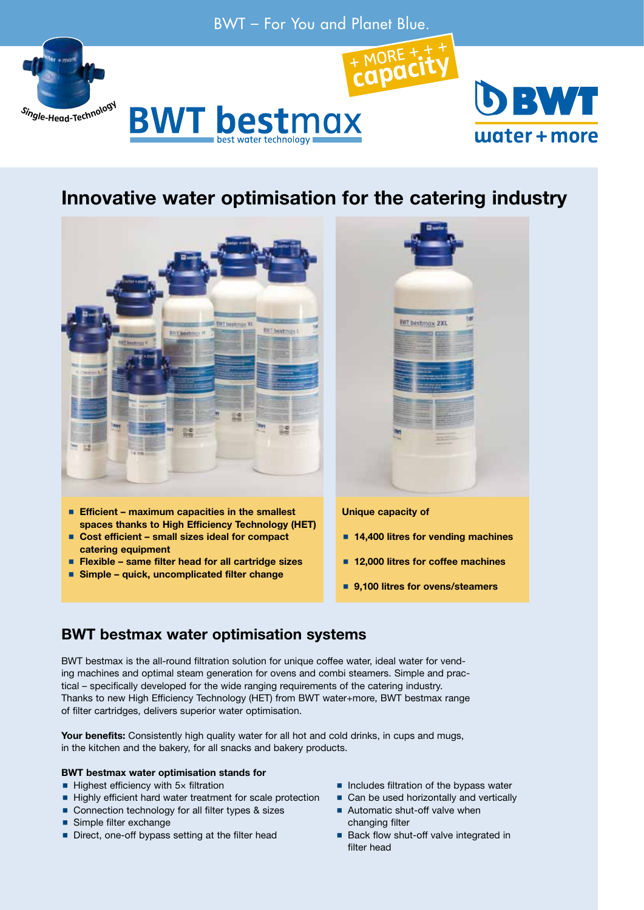



# Innovative water optimisation for the catering industry



- **Efficient maximum capacities in the smallest** spaces thanks to High Efficiency Technology (HET)
- Cost efficient small sizes ideal for compact catering equipment
- Flexible same filter head for all cartridge sizes
- Simple quick, uncomplicated filter change



### Unique capacity of

- 14,400 litres for vending machines
- 12,000 litres for coffee machines
- 9,100 litres for ovens/steamers

## BWT bestmax water optimisation systems

BWT bestmax is the all-round filtration solution for unique coffee water, ideal water for vending machines and optimal steam generation for ovens and combi steamers. Simple and practical – specifically developed for the wide ranging requirements of the catering industry. Thanks to new High Efficiency Technology (HET) from BWT water+more, BWT bestmax range of filter cartridges, delivers superior water optimisation.

Your benefits: Consistently high quality water for all hot and cold drinks, in cups and mugs, in the kitchen and the bakery, for all snacks and bakery products.

### BWT bestmax water optimisation stands for

- $\blacksquare$  Highest efficiency with 5 $\times$  filtration
- Highly efficient hard water treatment for scale protection
- Connection technology for all filter types & sizes
- Simple filter exchange
- Direct, one-off bypass setting at the filter head
- $\blacksquare$  Includes filtration of the bypass water
- Can be used horizontally and vertically Automatic shut-off valve when
- changing filter
- Back flow shut-off valve integrated in filter head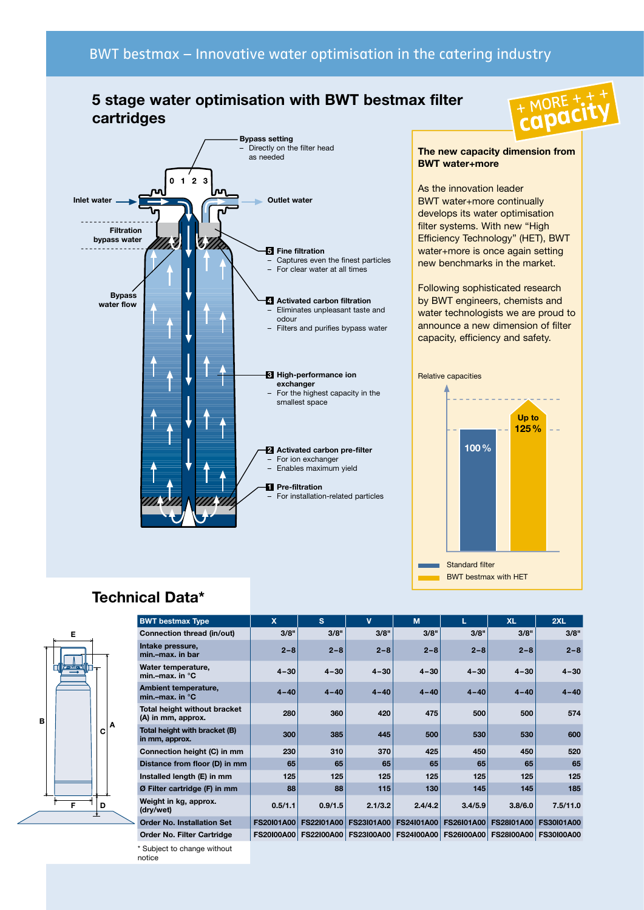## 5 stage water optimisation with BWT bestmax filter cartridges



## The new capacity dimension from BWT water+more

As the innovation leader BWT water+more continually develops its water optimisation filter systems. With new "High Efficiency Technology" (HET), BWT water+more is once again setting new benchmarks in the market.

Following sophisticated research by BWT engineers, chemists and water technologists we are proud to announce a new dimension of filter capacity, efficiency and safety.



## Technical Data\*



| <b>BWT bestmax Type</b>                            | $\mathbf x$       | s.                | $\mathbf v$       | M                 |                                      | <b>XL</b>         | 2XL               |
|----------------------------------------------------|-------------------|-------------------|-------------------|-------------------|--------------------------------------|-------------------|-------------------|
| Connection thread (in/out)                         | 3/8"              | 3/8"              | 3/8"              | 3/8"              | 3/8"                                 | 3/8"              | 3/8"              |
| Intake pressure,<br>min.-max. in bar               | $2 - 8$           | $2 - 8$           | $2 - 8$           | $2 - 8$           | $2 - 8$                              | $2 - 8$           | $2 - 8$           |
| Water temperature,<br>min.-max. in $^{\circ}$ C    | $4 - 30$          | $4 - 30$          | $4 - 30$          | $4 - 30$          | $4 - 30$                             | $4 - 30$          | $4 - 30$          |
| Ambient temperature,<br>min.-max. in $^{\circ}$ C  | $4 - 40$          | $4 - 40$          | $4 - 40$          | $4 - 40$          | $4 - 40$                             | $4 - 40$          | $4 - 40$          |
| Total height without bracket<br>(A) in mm, approx. | 280               | 360               | 420               | 475               | 500                                  | 500               | 574               |
| Total height with bracket (B)<br>in mm, approx.    | 300               | 385               | 445               | 500               | 530                                  | 530               | 600               |
| Connection height (C) in mm                        | 230               | 310               | 370               | 425               | 450                                  | 450               | 520               |
| Distance from floor (D) in mm                      | 65                | 65                | 65                | 65                | 65                                   | 65                | 65                |
| Installed length (E) in mm                         | 125               | 125               | 125               | 125               | 125                                  | 125               | 125               |
| Ø Filter cartridge (F) in mm                       | 88                | 88                | 115               | 130               | 145                                  | 145               | 185               |
| Weight in kg, approx.<br>(dry/wet)                 | 0.5/1.1           | 0.9/1.5           | 2.1/3.2           | 2.4/4.2           | 3.4/5.9                              | 3.8/6.0           | 7.5/11.0          |
| <b>Order No. Installation Set</b>                  | <b>FS20101A00</b> | <b>FS22I01A00</b> | <b>FS23I01A00</b> | <b>FS24101A00</b> | <b>FS26I01A00</b>                    | <b>FS28I01A00</b> | <b>FS30101A00</b> |
| Order No. Filter Cartridge                         | <b>FS20100A00</b> | <b>FS22100A00</b> |                   |                   | FS23100A00   FS24100A00   FS26100A00 | <b>FS28100A00</b> | <b>FS30100A00</b> |

\* Subject to change without notice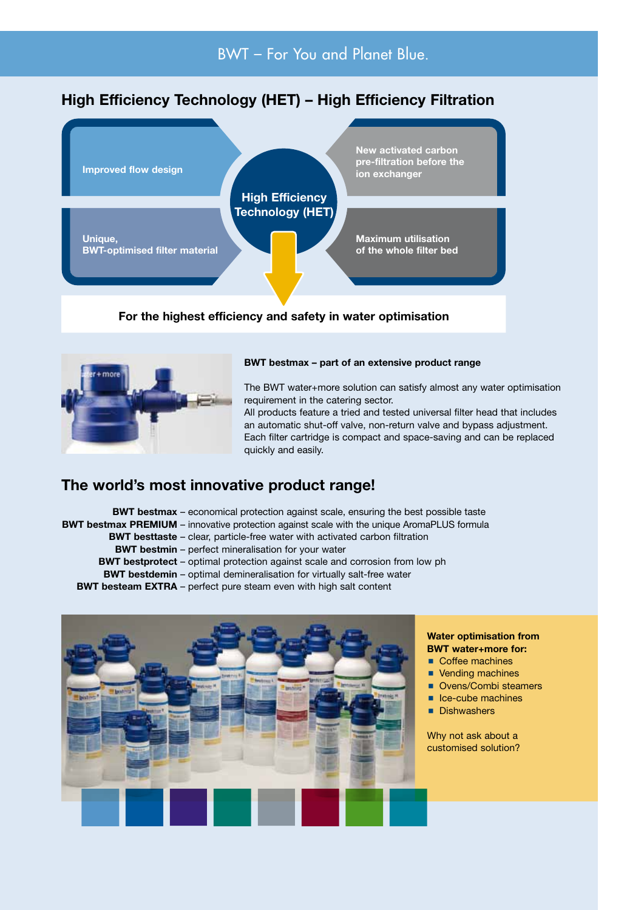## High Efficiency Technology (HET) – High Efficiency Filtration



## For the highest efficiency and safety in water optimisation



### BWT bestmax – part of an extensive product range

The BWT water+more solution can satisfy almost any water optimisation requirement in the catering sector.

All products feature a tried and tested universal filter head that includes an automatic shut-off valve, non-return valve and bypass adjustment. Each filter cartridge is compact and space-saving and can be replaced quickly and easily.

## The world's most innovative product range!

BWT bestmax – economical protection against scale, ensuring the best possible taste BWT bestmax PREMIUM – innovative protection against scale with the unique AromaPLUS formula BWT besttaste – clear, particle-free water with activated carbon filtration BWT bestmin – perfect mineralisation for your water BWT bestprotect – optimal protection against scale and corrosion from low ph BWT bestdemin – optimal demineralisation for virtually salt-free water

BWT besteam EXTRA – perfect pure steam even with high salt content



### Water optimisation from BWT water+more for:

Coffee machines

- Vending machines
- Ovens/Combi steamers
- $\blacksquare$  Ice-cube machines
- **Dishwashers**

Why not ask about a customised solution?